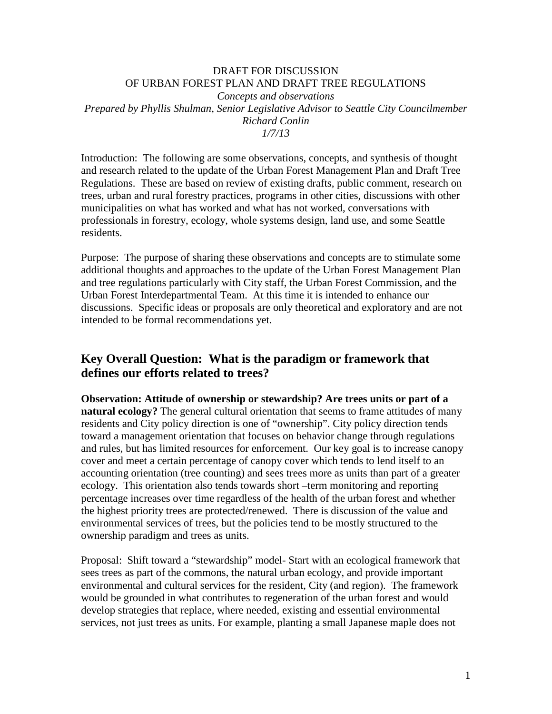## DRAFT FOR DISCUSSION OF URBAN FOREST PLAN AND DRAFT TREE REGULATIONS *Concepts and observations Prepared by Phyllis Shulman, Senior Legislative Advisor to Seattle City Councilmember Richard Conlin 1/7/13*

Introduction: The following are some observations, concepts, and synthesis of thought and research related to the update of the Urban Forest Management Plan and Draft Tree Regulations. These are based on review of existing drafts, public comment, research on trees, urban and rural forestry practices, programs in other cities, discussions with other municipalities on what has worked and what has not worked, conversations with professionals in forestry, ecology, whole systems design, land use, and some Seattle residents.

Purpose: The purpose of sharing these observations and concepts are to stimulate some additional thoughts and approaches to the update of the Urban Forest Management Plan and tree regulations particularly with City staff, the Urban Forest Commission, and the Urban Forest Interdepartmental Team. At this time it is intended to enhance our discussions. Specific ideas or proposals are only theoretical and exploratory and are not intended to be formal recommendations yet.

## **Key Overall Question: What is the paradigm or framework that defines our efforts related to trees?**

**Observation: Attitude of ownership or stewardship? Are trees units or part of a natural ecology?** The general cultural orientation that seems to frame attitudes of many residents and City policy direction is one of "ownership". City policy direction tends toward a management orientation that focuses on behavior change through regulations and rules, but has limited resources for enforcement. Our key goal is to increase canopy cover and meet a certain percentage of canopy cover which tends to lend itself to an accounting orientation (tree counting) and sees trees more as units than part of a greater ecology. This orientation also tends towards short –term monitoring and reporting percentage increases over time regardless of the health of the urban forest and whether the highest priority trees are protected/renewed. There is discussion of the value and environmental services of trees, but the policies tend to be mostly structured to the ownership paradigm and trees as units.

Proposal: Shift toward a "stewardship" model- Start with an ecological framework that sees trees as part of the commons, the natural urban ecology, and provide important environmental and cultural services for the resident, City (and region). The framework would be grounded in what contributes to regeneration of the urban forest and would develop strategies that replace, where needed, existing and essential environmental services, not just trees as units. For example, planting a small Japanese maple does not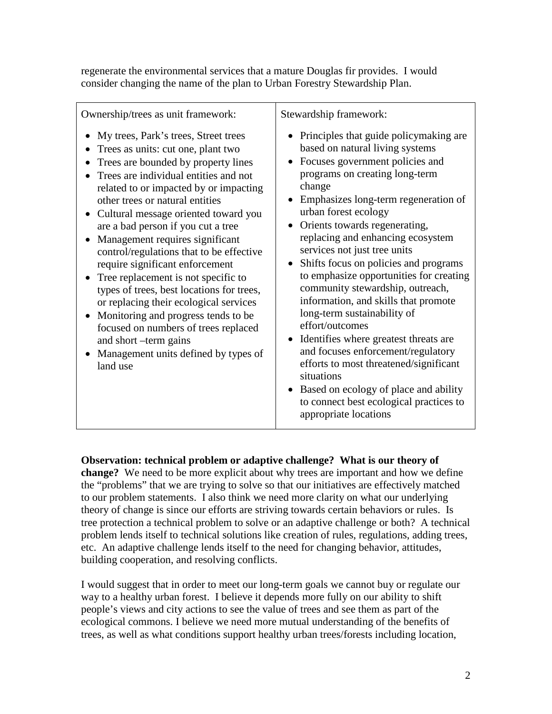regenerate the environmental services that a mature Douglas fir provides. I would consider changing the name of the plan to Urban Forestry Stewardship Plan.

| Ownership/trees as unit framework:                                                                                                                                                                                                                                                                                                                                                                                                                                                                                                                                                                                                                                                                                                | Stewardship framework:                                                                                                                                                                                                                                                                                                                                                                                                                                                                                                                                                                                                                                                                                                                                                                                               |
|-----------------------------------------------------------------------------------------------------------------------------------------------------------------------------------------------------------------------------------------------------------------------------------------------------------------------------------------------------------------------------------------------------------------------------------------------------------------------------------------------------------------------------------------------------------------------------------------------------------------------------------------------------------------------------------------------------------------------------------|----------------------------------------------------------------------------------------------------------------------------------------------------------------------------------------------------------------------------------------------------------------------------------------------------------------------------------------------------------------------------------------------------------------------------------------------------------------------------------------------------------------------------------------------------------------------------------------------------------------------------------------------------------------------------------------------------------------------------------------------------------------------------------------------------------------------|
| My trees, Park's trees, Street trees<br>Trees as units: cut one, plant two<br>Trees are bounded by property lines<br>Trees are individual entities and not<br>related to or impacted by or impacting<br>other trees or natural entities<br>Cultural message oriented toward you<br>are a bad person if you cut a tree<br>Management requires significant<br>control/regulations that to be effective<br>require significant enforcement<br>Tree replacement is not specific to<br>types of trees, best locations for trees,<br>or replacing their ecological services<br>Monitoring and progress tends to be<br>focused on numbers of trees replaced<br>and short -term gains<br>Management units defined by types of<br>land use | • Principles that guide policy making are<br>based on natural living systems<br>Focuses government policies and<br>programs on creating long-term<br>change<br>Emphasizes long-term regeneration of<br>urban forest ecology<br>Orients towards regenerating,<br>replacing and enhancing ecosystem<br>services not just tree units<br>Shifts focus on policies and programs<br>to emphasize opportunities for creating<br>community stewardship, outreach,<br>information, and skills that promote<br>long-term sustainability of<br>effort/outcomes<br>Identifies where greatest threats are<br>$\bullet$<br>and focuses enforcement/regulatory<br>efforts to most threatened/significant<br>situations<br>Based on ecology of place and ability<br>to connect best ecological practices to<br>appropriate locations |

## **Observation: technical problem or adaptive challenge? What is our theory of**

**change?** We need to be more explicit about why trees are important and how we define the "problems" that we are trying to solve so that our initiatives are effectively matched to our problem statements. I also think we need more clarity on what our underlying theory of change is since our efforts are striving towards certain behaviors or rules. Is tree protection a technical problem to solve or an adaptive challenge or both? A technical problem lends itself to technical solutions like creation of rules, regulations, adding trees, etc. An adaptive challenge lends itself to the need for changing behavior, attitudes, building cooperation, and resolving conflicts.

I would suggest that in order to meet our long-term goals we cannot buy or regulate our way to a healthy urban forest. I believe it depends more fully on our ability to shift people's views and city actions to see the value of trees and see them as part of the ecological commons. I believe we need more mutual understanding of the benefits of trees, as well as what conditions support healthy urban trees/forests including location,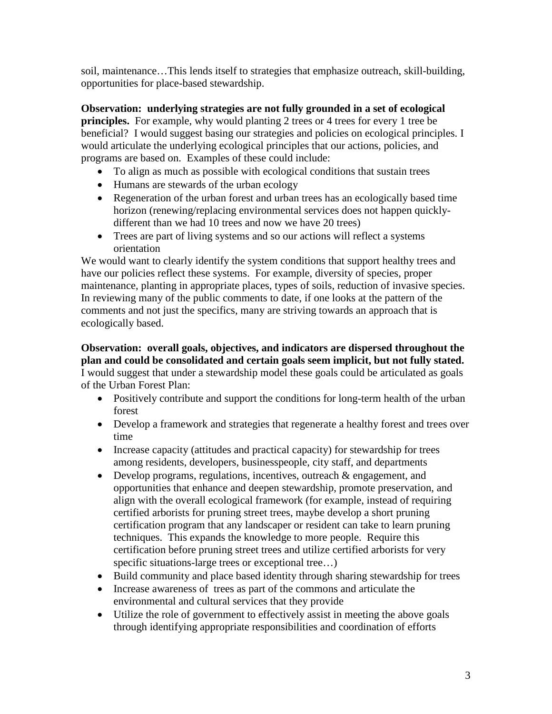soil, maintenance…This lends itself to strategies that emphasize outreach, skill-building, opportunities for place-based stewardship.

**Observation: underlying strategies are not fully grounded in a set of ecological principles.** For example, why would planting 2 trees or 4 trees for every 1 tree be beneficial? I would suggest basing our strategies and policies on ecological principles. I would articulate the underlying ecological principles that our actions, policies, and programs are based on. Examples of these could include:

- To align as much as possible with ecological conditions that sustain trees
- Humans are stewards of the urban ecology
- Regeneration of the urban forest and urban trees has an ecologically based time horizon (renewing/replacing environmental services does not happen quicklydifferent than we had 10 trees and now we have 20 trees)
- Trees are part of living systems and so our actions will reflect a systems orientation

We would want to clearly identify the system conditions that support healthy trees and have our policies reflect these systems. For example, diversity of species, proper maintenance, planting in appropriate places, types of soils, reduction of invasive species. In reviewing many of the public comments to date, if one looks at the pattern of the comments and not just the specifics, many are striving towards an approach that is ecologically based.

**Observation: overall goals, objectives, and indicators are dispersed throughout the plan and could be consolidated and certain goals seem implicit, but not fully stated.**  I would suggest that under a stewardship model these goals could be articulated as goals of the Urban Forest Plan:

- Positively contribute and support the conditions for long-term health of the urban forest
- Develop a framework and strategies that regenerate a healthy forest and trees over time
- Increase capacity (attitudes and practical capacity) for stewardship for trees among residents, developers, businesspeople, city staff, and departments
- Develop programs, regulations, incentives, outreach & engagement, and opportunities that enhance and deepen stewardship, promote preservation, and align with the overall ecological framework (for example, instead of requiring certified arborists for pruning street trees, maybe develop a short pruning certification program that any landscaper or resident can take to learn pruning techniques. This expands the knowledge to more people. Require this certification before pruning street trees and utilize certified arborists for very specific situations-large trees or exceptional tree...)
- Build community and place based identity through sharing stewardship for trees
- Increase awareness of trees as part of the commons and articulate the environmental and cultural services that they provide
- Utilize the role of government to effectively assist in meeting the above goals through identifying appropriate responsibilities and coordination of efforts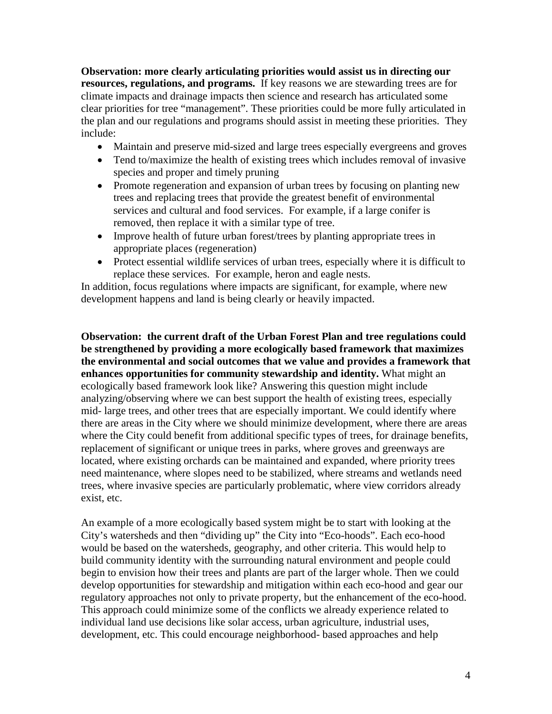**Observation: more clearly articulating priorities would assist us in directing our resources, regulations, and programs.** If key reasons we are stewarding trees are for climate impacts and drainage impacts then science and research has articulated some clear priorities for tree "management". These priorities could be more fully articulated in the plan and our regulations and programs should assist in meeting these priorities. They include:

- Maintain and preserve mid-sized and large trees especially evergreens and groves
- Tend to/maximize the health of existing trees which includes removal of invasive species and proper and timely pruning
- Promote regeneration and expansion of urban trees by focusing on planting new trees and replacing trees that provide the greatest benefit of environmental services and cultural and food services. For example, if a large conifer is removed, then replace it with a similar type of tree.
- Improve health of future urban forest/trees by planting appropriate trees in appropriate places (regeneration)
- Protect essential wildlife services of urban trees, especially where it is difficult to replace these services. For example, heron and eagle nests.

In addition, focus regulations where impacts are significant, for example, where new development happens and land is being clearly or heavily impacted.

**Observation: the current draft of the Urban Forest Plan and tree regulations could be strengthened by providing a more ecologically based framework that maximizes the environmental and social outcomes that we value and provides a framework that enhances opportunities for community stewardship and identity.** What might an ecologically based framework look like? Answering this question might include analyzing/observing where we can best support the health of existing trees, especially mid- large trees, and other trees that are especially important. We could identify where there are areas in the City where we should minimize development, where there are areas where the City could benefit from additional specific types of trees, for drainage benefits, replacement of significant or unique trees in parks, where groves and greenways are located, where existing orchards can be maintained and expanded, where priority trees need maintenance, where slopes need to be stabilized, where streams and wetlands need trees, where invasive species are particularly problematic, where view corridors already exist, etc.

An example of a more ecologically based system might be to start with looking at the City's watersheds and then "dividing up" the City into "Eco-hoods". Each eco-hood would be based on the watersheds, geography, and other criteria. This would help to build community identity with the surrounding natural environment and people could begin to envision how their trees and plants are part of the larger whole. Then we could develop opportunities for stewardship and mitigation within each eco-hood and gear our regulatory approaches not only to private property, but the enhancement of the eco-hood. This approach could minimize some of the conflicts we already experience related to individual land use decisions like solar access, urban agriculture, industrial uses, development, etc. This could encourage neighborhood- based approaches and help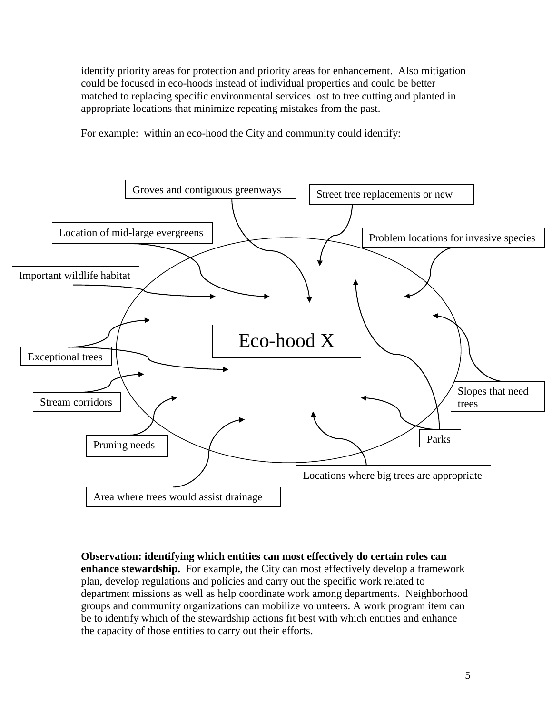identify priority areas for protection and priority areas for enhancement. Also mitigation could be focused in eco-hoods instead of individual properties and could be better matched to replacing specific environmental services lost to tree cutting and planted in appropriate locations that minimize repeating mistakes from the past.

For example: within an eco-hood the City and community could identify:



**Observation: identifying which entities can most effectively do certain roles can enhance stewardship.** For example, the City can most effectively develop a framework plan, develop regulations and policies and carry out the specific work related to department missions as well as help coordinate work among departments. Neighborhood groups and community organizations can mobilize volunteers. A work program item can be to identify which of the stewardship actions fit best with which entities and enhance the capacity of those entities to carry out their efforts.